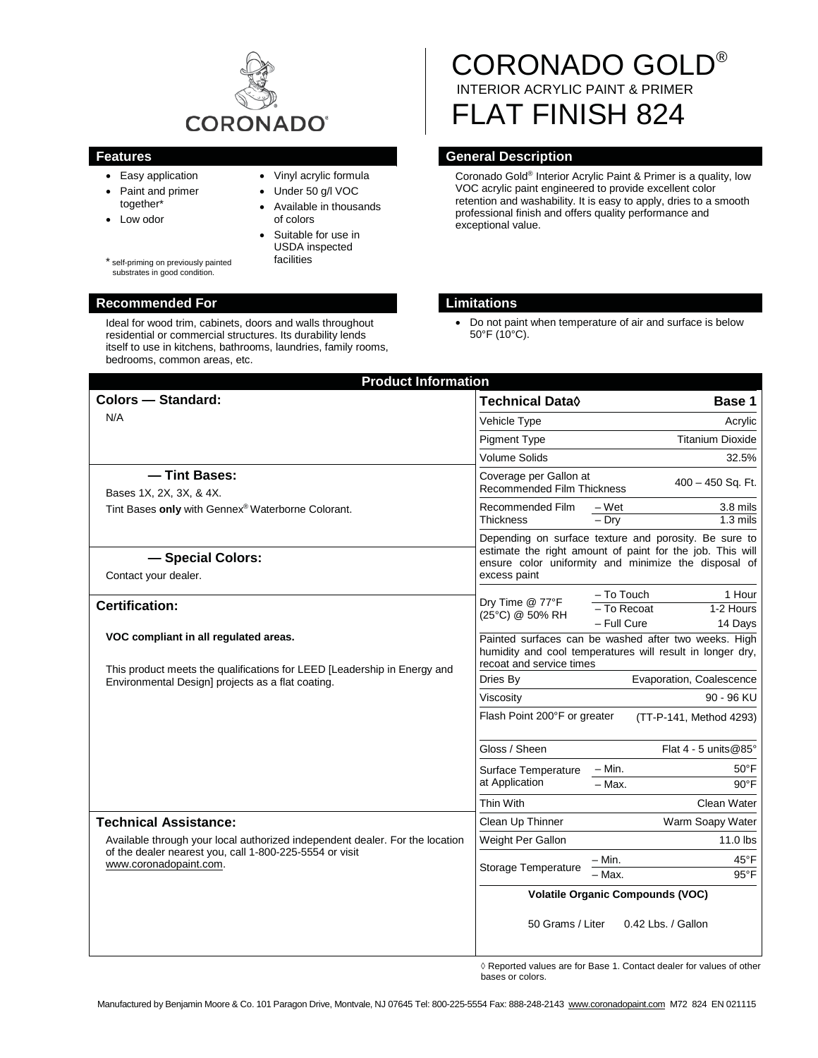

- Easy application
- Paint and primer together\*
- Low odor
- Vinyl acrylic formula • Under 50 g/l VOC

of colors

- - - Suitable for use in USDA inspected facilities

Available in thousands

\* self-priming on previously painted substrates in good condition.

## **Recommended For Limitations**

Ideal for wood trim, cabinets, doors and walls throughout residential or commercial structures. Its durability lends itself to use in kitchens, bathrooms, laundries, family rooms, bedrooms, common areas, etc.

# CORONADO GOLD® INTERIOR ACRYLIC PAINT & PRIMER FLAT FINISH 824

# **Features General Description**

Coronado Gold® Interior Acrylic Paint & Primer is a quality, low VOC acrylic paint engineered to provide excellent color retention and washability. It is easy to apply, dries to a smooth professional finish and offers quality performance and exceptional value.

• Do not paint when temperature of air and surface is below 50°F (10°C).

| <b>Colors - Standard:</b>                                                                                                                                                                         | Technical Data $\Diamond$                                                                                                                                                                  | Base 1                                                                       |
|---------------------------------------------------------------------------------------------------------------------------------------------------------------------------------------------------|--------------------------------------------------------------------------------------------------------------------------------------------------------------------------------------------|------------------------------------------------------------------------------|
| N/A                                                                                                                                                                                               | Vehicle Type                                                                                                                                                                               | Acrylic                                                                      |
|                                                                                                                                                                                                   | <b>Pigment Type</b>                                                                                                                                                                        | <b>Titanium Dioxide</b>                                                      |
|                                                                                                                                                                                                   | <b>Volume Solids</b>                                                                                                                                                                       | 32.5%                                                                        |
| - Tint Bases:<br>Bases 1X, 2X, 3X, & 4X.                                                                                                                                                          | Coverage per Gallon at<br>Recommended Film Thickness                                                                                                                                       | 400 - 450 Sq. Ft.                                                            |
| Tint Bases only with Gennex® Waterborne Colorant.                                                                                                                                                 | Recommended Film                                                                                                                                                                           | 3.8 mils<br>– Wet                                                            |
|                                                                                                                                                                                                   | <b>Thickness</b>                                                                                                                                                                           | $-$ Drv<br>$1.3 \text{ miles}$                                               |
| - Special Colors:<br>Contact your dealer.                                                                                                                                                         | Depending on surface texture and porosity. Be sure to<br>estimate the right amount of paint for the job. This will<br>ensure color uniformity and minimize the disposal of<br>excess paint |                                                                              |
| <b>Certification:</b>                                                                                                                                                                             | Dry Time @ 77°F<br>(25°C) @ 50% RH                                                                                                                                                         | - To Touch<br>1 Hour<br>- To Recoat<br>1-2 Hours<br>$-$ Full Cure<br>14 Days |
| VOC compliant in all regulated areas.<br>This product meets the qualifications for LEED [Leadership in Energy and                                                                                 | Painted surfaces can be washed after two weeks. High<br>humidity and cool temperatures will result in longer dry,<br>recoat and service times                                              |                                                                              |
| Environmental Design] projects as a flat coating.                                                                                                                                                 | Dries By                                                                                                                                                                                   | Evaporation, Coalescence                                                     |
|                                                                                                                                                                                                   | Viscosity                                                                                                                                                                                  | 90 - 96 KU                                                                   |
|                                                                                                                                                                                                   | Flash Point 200°F or greater                                                                                                                                                               | (TT-P-141, Method 4293)                                                      |
|                                                                                                                                                                                                   | Gloss / Sheen                                                                                                                                                                              | Flat $4 - 5$ units @ 85°                                                     |
|                                                                                                                                                                                                   | Surface Temperature<br>at Application                                                                                                                                                      | $- Min.$<br>$50^{\circ}$ F                                                   |
|                                                                                                                                                                                                   |                                                                                                                                                                                            | $-$ Max.<br>$90^{\circ}$ F                                                   |
|                                                                                                                                                                                                   | Thin With                                                                                                                                                                                  | Clean Water                                                                  |
| <b>Technical Assistance:</b><br>Available through your local authorized independent dealer. For the location<br>of the dealer nearest you, call 1-800-225-5554 or visit<br>www.coronadopaint.com. | Clean Up Thinner                                                                                                                                                                           | Warm Soapy Water                                                             |
|                                                                                                                                                                                                   | Weight Per Gallon                                                                                                                                                                          | $11.0$ lbs                                                                   |
|                                                                                                                                                                                                   | Storage Temperature                                                                                                                                                                        | $45^{\circ}$ F<br>– Min.<br>$95^{\circ}$ F<br>- Max.                         |
|                                                                                                                                                                                                   | <b>Volatile Organic Compounds (VOC)</b>                                                                                                                                                    |                                                                              |
|                                                                                                                                                                                                   | 50 Grams / Liter                                                                                                                                                                           | 0.42 Lbs. / Gallon                                                           |

 $\diamond$  Reported values are for Base 1. Contact dealer for values of other bases or colors.